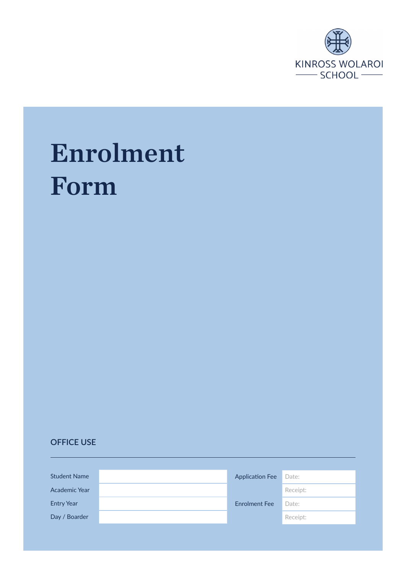

# Enrolment Form

## **OFFICE USE**

| <b>Student Name</b>  | <b>Application Fee</b> | Date:    |
|----------------------|------------------------|----------|
| <b>Academic Year</b> |                        | Receipt: |
| <b>Entry Year</b>    | <b>Enrolment Fee</b>   | Date:    |
| Day / Boarder        |                        | Receipt: |
|                      |                        |          |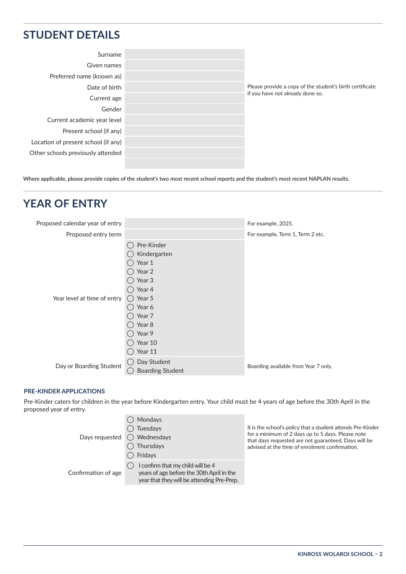## **STUDENT DETAILS**

|            | Surname                             |
|------------|-------------------------------------|
|            | Given names                         |
|            | Preferred name (known as)           |
| PI<br>if ' | Date of birth                       |
|            | Current age                         |
|            | Gender                              |
|            | Current academic year level         |
|            | Present school (if any)             |
|            | Location of present school (if any) |
|            | Other schools previously attended   |
|            |                                     |

lease provide a copy of the student's birth certificate you have not already done so.

**Where applicable, please provide copies of the student's two most recent school reports and the student's most recent NAPLAN results.**

# **YEAR OF ENTRY**

| Proposed calendar year of entry |                                                                                                                                                 | For example, 2025.                   |
|---------------------------------|-------------------------------------------------------------------------------------------------------------------------------------------------|--------------------------------------|
| Proposed entry term             |                                                                                                                                                 | For example, Term 1, Term 2 etc.     |
| Year level at time of entry     | Pre-Kinder<br>Kindergarten<br>Year 1<br>Year 2<br>Year 3<br>Year 4<br>$()$ Year 5<br>Year 6<br>Year 7<br>Year 8<br>Year 9<br>Year 10<br>Year 11 |                                      |
| Day or Boarding Student         | Day Student<br><b>Boarding Student</b>                                                                                                          | Boarding available from Year 7 only. |

#### **PRE-KINDER APPLICATIONS**

Pre-Kinder caters for children in the year before Kindergarten entry. Your child must be 4 years of age before the 30th April in the proposed year of entry.

|                     | Mondays<br>Tuesdays<br>Days requested $\bigcirc$ Wednesdays<br>Thursdays<br>Fridays                                          | It is the school's policy that a student attends Pre-Kinder<br>for a minimum of 2 days up to 5 days. Please note<br>that days requested are not guaranteed. Days will be<br>advised at the time of enrolment confirmation. |
|---------------------|------------------------------------------------------------------------------------------------------------------------------|----------------------------------------------------------------------------------------------------------------------------------------------------------------------------------------------------------------------------|
| Confirmation of age | I confirm that my child will be 4<br>years of age before the 30th April in the<br>year that they will be attending Pre-Prep. |                                                                                                                                                                                                                            |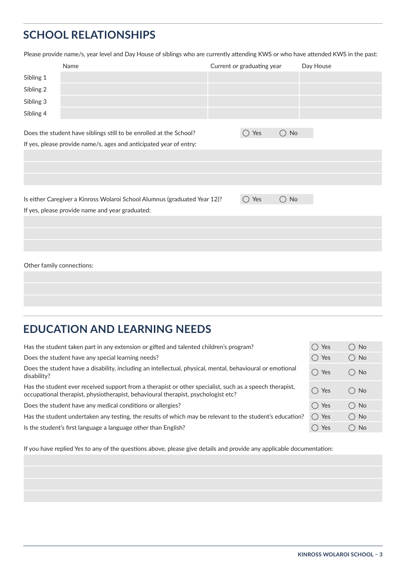# **SCHOOL RELATIONSHIPS**

Please provide name/s, year level and Day House of siblings who are currently attending KWS or who have attended KWS in the past:

|                           | Name                                                                      | Current or graduating year |               | Day House |
|---------------------------|---------------------------------------------------------------------------|----------------------------|---------------|-----------|
| Sibling 1                 |                                                                           |                            |               |           |
| Sibling 2                 |                                                                           |                            |               |           |
| Sibling 3                 |                                                                           |                            |               |           |
| Sibling 4                 |                                                                           |                            |               |           |
|                           |                                                                           |                            |               |           |
|                           | Does the student have siblings still to be enrolled at the School?        | Yes<br>$($ )               | $\bigcirc$ No |           |
|                           | If yes, please provide name/s, ages and anticipated year of entry:        |                            |               |           |
|                           |                                                                           |                            |               |           |
|                           |                                                                           |                            |               |           |
|                           |                                                                           |                            |               |           |
|                           |                                                                           |                            |               |           |
|                           | Is either Caregiver a Kinross Wolaroi School Alumnus (graduated Year 12)? | Yes<br>( )                 | $\bigcirc$ No |           |
|                           | If yes, please provide name and year graduated:                           |                            |               |           |
|                           |                                                                           |                            |               |           |
|                           |                                                                           |                            |               |           |
|                           |                                                                           |                            |               |           |
|                           |                                                                           |                            |               |           |
| Other family connections: |                                                                           |                            |               |           |
|                           |                                                                           |                            |               |           |

# **EDUCATION AND LEARNING NEEDS**

| Has the student taken part in any extension or gifted and talented children's program?                                                                                                       | ◯ Yes         | ◯ No          |
|----------------------------------------------------------------------------------------------------------------------------------------------------------------------------------------------|---------------|---------------|
| Does the student have any special learning needs?                                                                                                                                            | $\bigcap$ Yes | $\bigcirc$ No |
| Does the student have a disability, including an intellectual, physical, mental, behavioural or emotional<br>disability?                                                                     | $\bigcap$ Yes | $\bigcirc$ No |
| Has the student ever received support from a therapist or other specialist, such as a speech therapist,<br>occupational therapist, physiotherapist, behavioural therapist, psychologist etc? | $\bigcap$ Yes | $\bigcirc$ No |
| Does the student have any medical conditions or allergies?                                                                                                                                   | $\bigcap$ Yes | $()$ No       |
| Has the student undertaken any testing, the results of which may be relevant to the student's education?                                                                                     | $\bigcap$ Yes | $\bigcirc$ No |
| Is the student's first language a language other than English?                                                                                                                               | Yes           | $()$ No       |

If you have replied Yes to any of the questions above, please give details and provide any applicable documentation: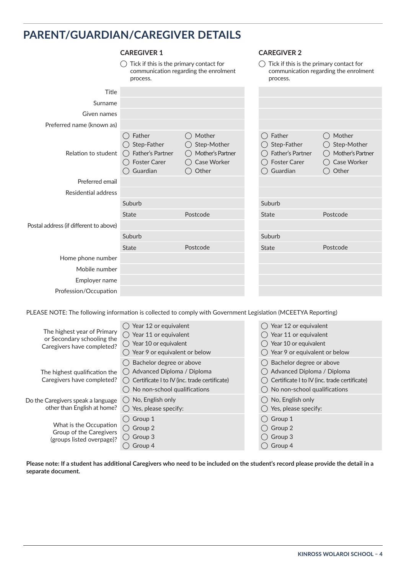# **PARENT/GUARDIAN/CAREGIVER DETAILS**

|                                        | <b>CAREGIVER 1</b>                                                                           |                                                                   | <b>CAREGIVER 2</b>                                                                           |                                                                            |  |
|----------------------------------------|----------------------------------------------------------------------------------------------|-------------------------------------------------------------------|----------------------------------------------------------------------------------------------|----------------------------------------------------------------------------|--|
|                                        | Tick if this is the primary contact for<br>communication regarding the enrolment<br>process. |                                                                   | Tick if this is the primary contact for<br>communication regarding the enrolment<br>process. |                                                                            |  |
| <b>Title</b>                           |                                                                                              |                                                                   |                                                                                              |                                                                            |  |
| Surname                                |                                                                                              |                                                                   |                                                                                              |                                                                            |  |
| Given names                            |                                                                                              |                                                                   |                                                                                              |                                                                            |  |
| Preferred name (known as)              |                                                                                              |                                                                   |                                                                                              |                                                                            |  |
| Relation to student                    | Father<br>$\bigcirc$ Step-Father<br>◯ Father's Partner<br><b>Foster Carer</b><br>Guardian    | Mother<br>Step-Mother<br>Mother's Partner<br>Case Worker<br>Other | Father<br>Step-Father<br>Father's Partner<br><b>Foster Carer</b><br>Guardian                 | Mother<br>Step-Mother<br>$($ )<br>Mother's Partner<br>Case Worker<br>Other |  |
| Preferred email                        |                                                                                              |                                                                   |                                                                                              |                                                                            |  |
| <b>Residential address</b>             |                                                                                              |                                                                   |                                                                                              |                                                                            |  |
|                                        | Suburb                                                                                       |                                                                   | Suburb                                                                                       |                                                                            |  |
|                                        | <b>State</b>                                                                                 | Postcode                                                          | <b>State</b>                                                                                 | Postcode                                                                   |  |
| Postal address (if different to above) |                                                                                              |                                                                   |                                                                                              |                                                                            |  |
|                                        | Suburb                                                                                       |                                                                   | Suburb                                                                                       |                                                                            |  |
|                                        | <b>State</b>                                                                                 | Postcode                                                          | <b>State</b>                                                                                 | Postcode                                                                   |  |
| Home phone number                      |                                                                                              |                                                                   |                                                                                              |                                                                            |  |
| Mobile number                          |                                                                                              |                                                                   |                                                                                              |                                                                            |  |
| Employer name                          |                                                                                              |                                                                   |                                                                                              |                                                                            |  |
| Profession/Occupation                  |                                                                                              |                                                                   |                                                                                              |                                                                            |  |

PLEASE NOTE: The following information is collected to comply with Government Legislation (MCEETYA Reporting)

| The highest year of Primary<br>or Secondary schooling the<br>Caregivers have completed? | Year 12 or equivalent<br>Year 11 or equivalent<br>$\bigcirc$<br>$\bigcirc$ Year 10 or equivalent<br>Year 9 or equivalent or below        | Year 12 or equivalent<br>Year 11 or equivalent<br>Year 10 or equivalent<br>Year 9 or equivalent or below                               |
|-----------------------------------------------------------------------------------------|------------------------------------------------------------------------------------------------------------------------------------------|----------------------------------------------------------------------------------------------------------------------------------------|
| The highest qualification the<br>Caregivers have completed?                             | Bachelor degree or above<br>◯ Advanced Diploma / Diploma<br>Certificate I to IV (inc. trade certificate)<br>No non-school qualifications | Bachelor degree or above<br>Advanced Diploma / Diploma<br>Certificate I to IV (inc. trade certificate)<br>No non-school qualifications |
| Do the Caregivers speak a language<br>other than English at home?                       | No, English only<br>Yes, please specify:                                                                                                 | No, English only<br>Yes, please specify:                                                                                               |
| What is the Occupation<br>Group of the Caregivers<br>(groups listed overpage)?          | $\bigcap$ Group 1<br>$\bigcap$ Group 2<br>$\bigcap$ Group 3<br>Group 4                                                                   | Group 1<br>Group 2<br>Group 3<br>Group 4                                                                                               |

**Please note: If a student has additional Caregivers who need to be included on the student's record please provide the detail in a separate document.**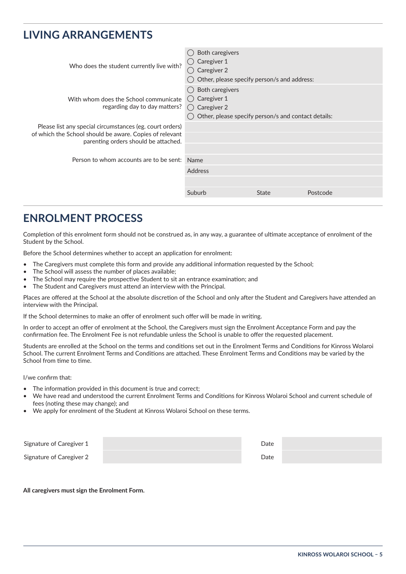# **LIVING ARRANGEMENTS**

| Who does the student currently live with?                              | Both caregivers<br>Caregiver 1<br>Caregiver 2<br>( )<br>Other, please specify person/s and address:            |              |          |  |
|------------------------------------------------------------------------|----------------------------------------------------------------------------------------------------------------|--------------|----------|--|
| With whom does the School communicate<br>regarding day to day matters? | Both caregivers<br>Caregiver 1<br>( )<br>() Caregiver 2<br>Other, please specify person/s and contact details: |              |          |  |
| Please list any special circumstances (eg. court orders)               |                                                                                                                |              |          |  |
| of which the School should be aware. Copies of relevant                |                                                                                                                |              |          |  |
| parenting orders should be attached.                                   |                                                                                                                |              |          |  |
|                                                                        |                                                                                                                |              |          |  |
| Person to whom accounts are to be sent:                                | Name                                                                                                           |              |          |  |
|                                                                        | <b>Address</b>                                                                                                 |              |          |  |
|                                                                        |                                                                                                                |              |          |  |
|                                                                        | Suburb                                                                                                         | <b>State</b> | Postcode |  |
|                                                                        |                                                                                                                |              |          |  |

# **ENROLMENT PROCESS**

Completion of this enrolment form should not be construed as, in any way, a guarantee of ultimate acceptance of enrolment of the Student by the School.

Before the School determines whether to accept an application for enrolment:

- The Caregivers must complete this form and provide any additional information requested by the School;
- The School will assess the number of places available;
- The School may require the prospective Student to sit an entrance examination; and
- The Student and Caregivers must attend an interview with the Principal.

Places are offered at the School at the absolute discretion of the School and only after the Student and Caregivers have attended an interview with the Principal.

If the School determines to make an offer of enrolment such offer will be made in writing.

In order to accept an offer of enrolment at the School, the Caregivers must sign the Enrolment Acceptance Form and pay the confirmation fee. The Enrolment Fee is not refundable unless the School is unable to offer the requested placement.

Students are enrolled at the School on the terms and conditions set out in the Enrolment Terms and Conditions for Kinross Wolaroi School. The current Enrolment Terms and Conditions are attached. These Enrolment Terms and Conditions may be varied by the School from time to time.

I/we confirm that:

- The information provided in this document is true and correct;
- We have read and understood the current Enrolment Terms and Conditions for Kinross Wolaroi School and current schedule of fees (noting these may change); and
- We apply for enrolment of the Student at Kinross Wolaroi School on these terms.

| Signature of Caregiver 1 | Date |  |
|--------------------------|------|--|
| Signature of Caregiver 2 | Date |  |

#### **All caregivers must sign the Enrolment Form.**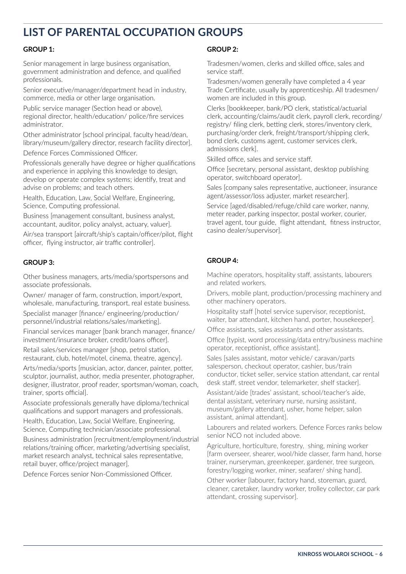# **LIST OF PARENTAL OCCUPATION GROUPS**

## **GROUP 1:**

Senior management in large business organisation, government administration and defence, and qualified professionals.

Senior executive/manager/department head in industry, commerce, media or other large organisation.

Public service manager (Section head or above), regional director, health/education/ police/fire services administrator.

Other administrator [school principal, faculty head/dean, library/museum/gallery director, research facility director].

Defence Forces Commissioned Officer.

Professionals generally have degree or higher qualifications and experience in applying this knowledge to design, develop or operate complex systems; identify, treat and advise on problems; and teach others.

Health, Education, Law, Social Welfare, Engineering, Science, Computing professional.

Business [management consultant, business analyst, accountant, auditor, policy analyst, actuary, valuer].

Air/sea transport [aircraft/ship's captain/officer/pilot, flight officer, flying instructor, air traffic controller].

## **GROUP 3:**

Other business managers, arts/media/sportspersons and associate professionals.

Owner/ manager of farm, construction, import/export, wholesale, manufacturing, transport, real estate business.

Specialist manager [finance/ engineering/production/ personnel/industrial relations/sales/marketing].

Financial services manager [bank branch manager, finance/ investment/insurance broker, credit/loans officer].

Retail sales/services manager [shop, petrol station, restaurant, club, hotel/motel, cinema, theatre, agency].

Arts/media/sports [musician, actor, dancer, painter, potter, sculptor, journalist, author, media presenter, photographer, designer, illustrator, proof reader, sportsman/woman, coach, trainer, sports official].

Associate professionals generally have diploma/technical qualifications and support managers and professionals.

Health, Education, Law, Social Welfare, Engineering, Science, Computing technician/associate professional.

Business administration [recruitment/employment/industrial relations/training officer, marketing/advertising specialist, market research analyst, technical sales representative, retail buyer, office/project manager].

Defence Forces senior Non-Commissioned Officer.

#### **GROUP 2:**

Tradesmen/women, clerks and skilled office, sales and service staff.

Tradesmen/women generally have completed a 4 year Trade Certificate, usually by apprenticeship. All tradesmen/ women are included in this group.

Clerks [bookkeeper, bank/PO clerk, statistical/actuarial clerk, accounting/claims/audit clerk, payroll clerk, recording/ registry/ filing clerk, betting clerk, stores/inventory clerk, purchasing/order clerk, freight/transport/shipping clerk, bond clerk, customs agent, customer services clerk, admissions clerk].

Skilled office, sales and service staff.

Office [secretary, personal assistant, desktop publishing operator, switchboard operator].

Sales [company sales representative, auctioneer, insurance agent/assessor/loss adjuster, market researcher].

Service [aged/disabled/refuge/child care worker, nanny, meter reader, parking inspector, postal worker, courier, travel agent, tour guide, flight attendant, fitness instructor, casino dealer/supervisor].

## **GROUP 4:**

Machine operators, hospitality staff, assistants, labourers and related workers.

Drivers, mobile plant, production/processing machinery and other machinery operators.

Hospitality staff [hotel service supervisor, receptionist, waiter, bar attendant, kitchen hand, porter, housekeeper].

Office assistants, sales assistants and other assistants.

Office [typist, word processing/data entry/business machine operator, receptionist, office assistant].

Sales [sales assistant, motor vehicle/ caravan/parts salesperson, checkout operator, cashier, bus/train conductor, ticket seller, service station attendant, car rental desk staff, street vendor, telemarketer, shelf stacker].

Assistant/aide [trades' assistant, school/teacher's aide, dental assistant, veterinary nurse, nursing assistant, museum/gallery attendant, usher, home helper, salon assistant, animal attendant].

Labourers and related workers. Defence Forces ranks below senior NCO not included above.

Agriculture, horticulture, forestry, shing, mining worker [farm overseer, shearer, wool/hide classer, farm hand, horse trainer, nurseryman, greenkeeper, gardener, tree surgeon, forestry/logging worker, miner, seafarer/ shing hand].

Other worker [labourer, factory hand, storeman, guard, cleaner, caretaker, laundry worker, trolley collector, car park attendant, crossing supervisor].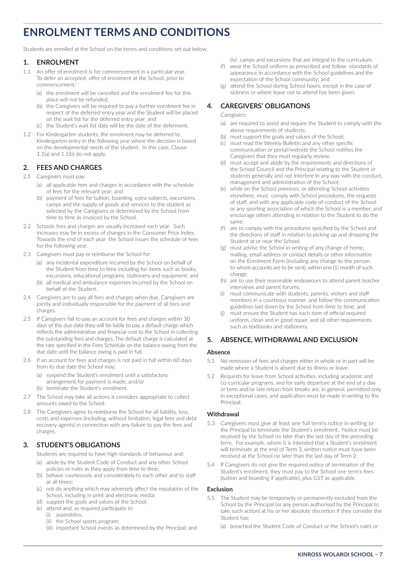# **ENROLMENT TERMS AND CONDITIONS**

Students are enrolled at the School on the terms and conditions set out below.

#### **1. ENROLMENT**

- 1.1 An offer of enrolment is for commencement in a particular year. To defer an accepted offer of enrolment at the School, prior to commencement:
	- (a) the enrolment will be cancelled and the enrolment fee for this place will not be refunded;
	- (b) the Caregivers will be required to pay a further enrolment fee in respect of the deferred entry year and the Student will be placed on the wait list for the deferred entry year; and
	- (c) the Student's wait list date will be the date of the deferment.
- 1.2 For Kindergarten students, the enrolment may be deferred to Kindergarten entry in the following year where the decision is based on the developmental needs of the student. In this case, Clause 1.1(a) and 1.1(b) do not apply.

#### **2. FEES AND CHARGES**

#### 2.1 Caregivers must pay:

- (a) all applicable fees and charges in accordance with the schedule of fees for the relevant year; and
- (b) payment of fees for tuition, boarding, extra subjects, excursions, camps and the supply of goods and services to the student as selected by the Caregivers or determined by the School from time to time as invoiced by the School.
- 2.2 Schools fees and charges are usually increased each year. Such increases may be in excess of changes in the Consumer Price Index. Towards the end of each year the School issues the schedule of fees for the following year.
- 2.3 Caregivers must pay or reimburse the School for:
	- (a) any incidental expenditure incurred by the School on behalf of the Student from time to time including for items such as books, excursions, educational programs, stationery and equipment; and
	- (b) all medical and ambulance expenses incurred by the School on behalf of the Student.
- 2.4 Caregivers are to pay all fees and charges when due. Caregivers are jointly and individually responsible for the payment of all fees and charges.
- 2.5 If Caregivers fail to pay an account for fees and charges within 30 days of the due date they will be liable to pay a default charge which reflects the administrative and financial cost to the School in collecting the outstanding fees and charges. The default charge is calculated at the rate specified in the Fees Schedule on the balance owing from the due date until the balance owing is paid in full.
- 2.6 If an account for fees and charges is not paid in full within 60 days from its due date the School may:
	- (a) suspend the Student's enrolment until a satisfactory arrangement for payment is made; and/or
	- (b) terminate the Student's enrolment.
- 2.7 The School may take all actions it considers appropriate to collect amounts owed to the School.
- 2.8 The Caregivers agree to reimburse the School for all liability, loss, costs and expenses (including, without limitation, legal fees and debt recovery agents) in connection with any failure to pay the fees and charges.

## **3. STUDENT'S OBLIGATIONS**

Students are required to have high standards of behaviour and:

- (a) abide by the Student Code of Conduct and any other School policies or rules as they apply from time to time;
- (b) behave courteously and considerately to each other and to staff at all times;
- (c) not do anything which may adversely affect the reputation of the School, including in print and electronic media:
- (d) support the goals and values of the School;
- (e) attend and, as required participate in:
	- (i) assemblies;
	- (ii) the School sports program;
	- (iii) important School events as determined by the Principal; and

(iv) camps and excursions that are integral to the curriculum;

- (f) wear the School uniform as prescribed and follow standards of appearance in accordance with the School guidelines and the expectation of the School community; and
- (g) attend the School during School hours, except in the case of sickness or where leave not to attend has been given.

#### **4. CAREGIVERS' OBLIGATIONS**

#### Caregivers:

- (a) are required to assist and require the Student to comply with the above requirements of students;
- (b) must support the goals and values of the School;
- (c) must read the Weekly Bulletin and any other specific communication or portal/website the School notifies the Caregivers that they must regularly review;
- (d) must accept and abide by the requirements and directions of the School Council and the Principal relating to the Student or students generally and not interfere in any way with the conduct, management and administration of the School;
- (e) while on the School premises, or attending School activities elsewhere, must comply with School procedures, the requests of staff, and with any applicable code of conduct of the School or any sporting association of which the School is a member, and encourage others attending in relation to the Student to do the same;
- (f) are to comply with the procedures specified by the School and the directions of staff in relation to picking up and dropping the Student at or near the School;
- (g) must advise the School in writing of any change of home, mailing, email address or contact details or other information on the Enrolment Form (including any change to the person to whom accounts are to be sent), within one (1) month of such change;
- (h) are to use their reasonable endeavours to attend parent teacher interviews and parent forums;
- (i) must communicate with students, parents, visitors and staff members in a courteous manner, and follow the communication guidelines laid down by the School from time to time; and
- (j) must ensure the Student has each item of official required uniform, clean and in good repair, and all other requirements such as textbooks and stationery.

#### **5. ABSENCE, WITHDRAWAL AND EXCLUSION**

#### **Absence**

- 5.1 No remission of fees and charges either in whole or in part will be made where a Student is absent due to illness or leave.
- 5.2 Requests for leave from School activities, including academic and co-curricular programs, and for early departure at the end of a day or term and/or late return from breaks are, in general, permitted only in exceptional cases, and application must be made in writing to the **Principal.**

#### **Withdrawal**

- 5.3 Caregivers must give at least one full term's notice in writing to the Principal to terminate the Student's enrolment. Notice must be received by the School no later than the last day of the preceding term. For example, where it is intended that a Student's enrolment will terminate at the end of Term 3, written notice must have been received at the School no later than the last day of Term 2.
- 5.4 If Caregivers do not give the required notice of termination of the Student's enrolment, they must pay to the School one term's fees (tuition and boarding if applicable), plus GST as applicable.

#### **Exclusion**

- 5.5 The Student may be temporarily or permanently excluded from the School by the Principal (or any person authorised by the Principal to take such action) at his or her absolute discretion if they consider the Student has:
	- (a) breached the Student Code of Conduct or the School's rules or